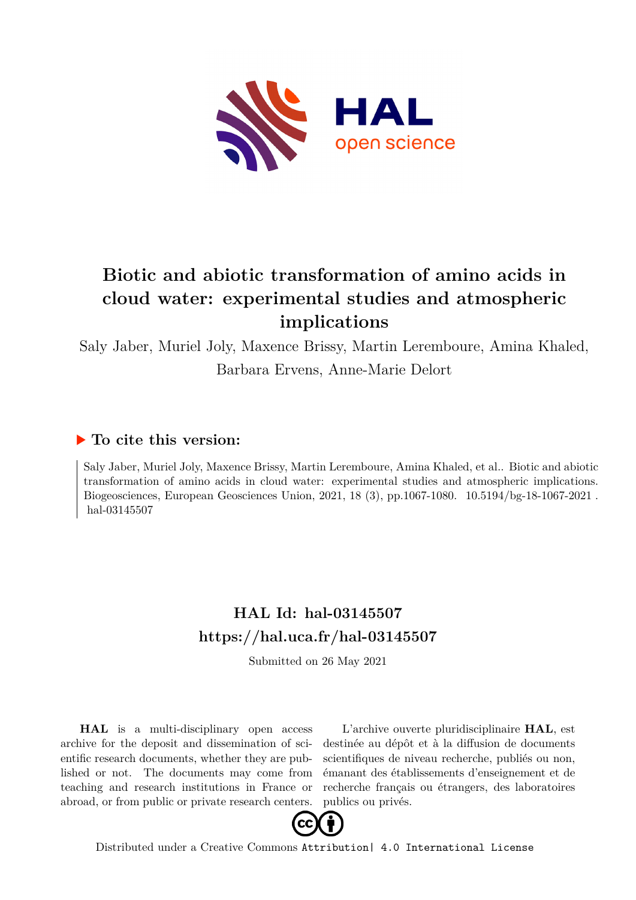

# **Biotic and abiotic transformation of amino acids in cloud water: experimental studies and atmospheric implications**

Saly Jaber, Muriel Joly, Maxence Brissy, Martin Leremboure, Amina Khaled, Barbara Ervens, Anne-Marie Delort

# **To cite this version:**

Saly Jaber, Muriel Joly, Maxence Brissy, Martin Leremboure, Amina Khaled, et al.. Biotic and abiotic transformation of amino acids in cloud water: experimental studies and atmospheric implications. Biogeosciences, European Geosciences Union, 2021, 18 (3), pp.1067-1080. 10.5194/bg-18-1067-2021. hal-03145507

# **HAL Id: hal-03145507 <https://hal.uca.fr/hal-03145507>**

Submitted on 26 May 2021

**HAL** is a multi-disciplinary open access archive for the deposit and dissemination of scientific research documents, whether they are published or not. The documents may come from teaching and research institutions in France or abroad, or from public or private research centers.

L'archive ouverte pluridisciplinaire **HAL**, est destinée au dépôt et à la diffusion de documents scientifiques de niveau recherche, publiés ou non, émanant des établissements d'enseignement et de recherche français ou étrangers, des laboratoires publics ou privés.



Distributed under a Creative Commons [Attribution| 4.0 International License](http://creativecommons.org/licenses/by/4.0/)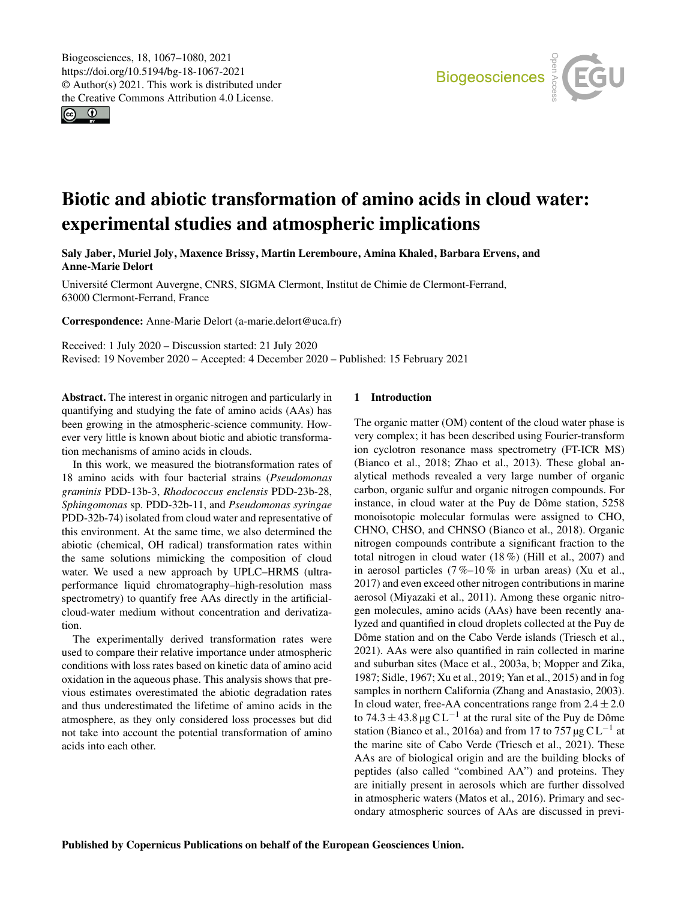$\circ$   $\circ$ 



# Biotic and abiotic transformation of amino acids in cloud water: experimental studies and atmospheric implications

Saly Jaber, Muriel Joly, Maxence Brissy, Martin Leremboure, Amina Khaled, Barbara Ervens, and Anne-Marie Delort

Université Clermont Auvergne, CNRS, SIGMA Clermont, Institut de Chimie de Clermont-Ferrand, 63000 Clermont-Ferrand, France

Correspondence: Anne-Marie Delort (a-marie.delort@uca.fr)

Received: 1 July 2020 – Discussion started: 21 July 2020 Revised: 19 November 2020 – Accepted: 4 December 2020 – Published: 15 February 2021

Abstract. The interest in organic nitrogen and particularly in quantifying and studying the fate of amino acids (AAs) has been growing in the atmospheric-science community. However very little is known about biotic and abiotic transformation mechanisms of amino acids in clouds.

In this work, we measured the biotransformation rates of 18 amino acids with four bacterial strains (*Pseudomonas graminis* PDD-13b-3, *Rhodococcus enclensis* PDD-23b-28, *Sphingomonas* sp. PDD-32b-11, and *Pseudomonas syringae* PDD-32b-74) isolated from cloud water and representative of this environment. At the same time, we also determined the abiotic (chemical, OH radical) transformation rates within the same solutions mimicking the composition of cloud water. We used a new approach by UPLC–HRMS (ultraperformance liquid chromatography–high-resolution mass spectrometry) to quantify free AAs directly in the artificialcloud-water medium without concentration and derivatization.

The experimentally derived transformation rates were used to compare their relative importance under atmospheric conditions with loss rates based on kinetic data of amino acid oxidation in the aqueous phase. This analysis shows that previous estimates overestimated the abiotic degradation rates and thus underestimated the lifetime of amino acids in the atmosphere, as they only considered loss processes but did not take into account the potential transformation of amino acids into each other.

# 1 Introduction

The organic matter (OM) content of the cloud water phase is very complex; it has been described using Fourier-transform ion cyclotron resonance mass spectrometry (FT-ICR MS) (Bianco et al., 2018; Zhao et al., 2013). These global analytical methods revealed a very large number of organic carbon, organic sulfur and organic nitrogen compounds. For instance, in cloud water at the Puy de Dôme station, 5258 monoisotopic molecular formulas were assigned to CHO, CHNO, CHSO, and CHNSO (Bianco et al., 2018). Organic nitrogen compounds contribute a significant fraction to the total nitrogen in cloud water (18 %) (Hill et al., 2007) and in aerosol particles  $(7\%-10\%)$  in urban areas) (Xu et al., 2017) and even exceed other nitrogen contributions in marine aerosol (Miyazaki et al., 2011). Among these organic nitrogen molecules, amino acids (AAs) have been recently analyzed and quantified in cloud droplets collected at the Puy de Dôme station and on the Cabo Verde islands (Triesch et al., 2021). AAs were also quantified in rain collected in marine and suburban sites (Mace et al., 2003a, b; Mopper and Zika, 1987; Sidle, 1967; Xu et al., 2019; Yan et al., 2015) and in fog samples in northern California (Zhang and Anastasio, 2003). In cloud water, free-AA concentrations range from  $2.4 \pm 2.0$ to 74.3  $\pm$  43.8 µg CL<sup>-1</sup> at the rural site of the Puy de Dôme station (Bianco et al., 2016a) and from 17 to 757 µg  $CL^{-1}$  at the marine site of Cabo Verde (Triesch et al., 2021). These AAs are of biological origin and are the building blocks of peptides (also called "combined AA") and proteins. They are initially present in aerosols which are further dissolved in atmospheric waters (Matos et al., 2016). Primary and secondary atmospheric sources of AAs are discussed in previ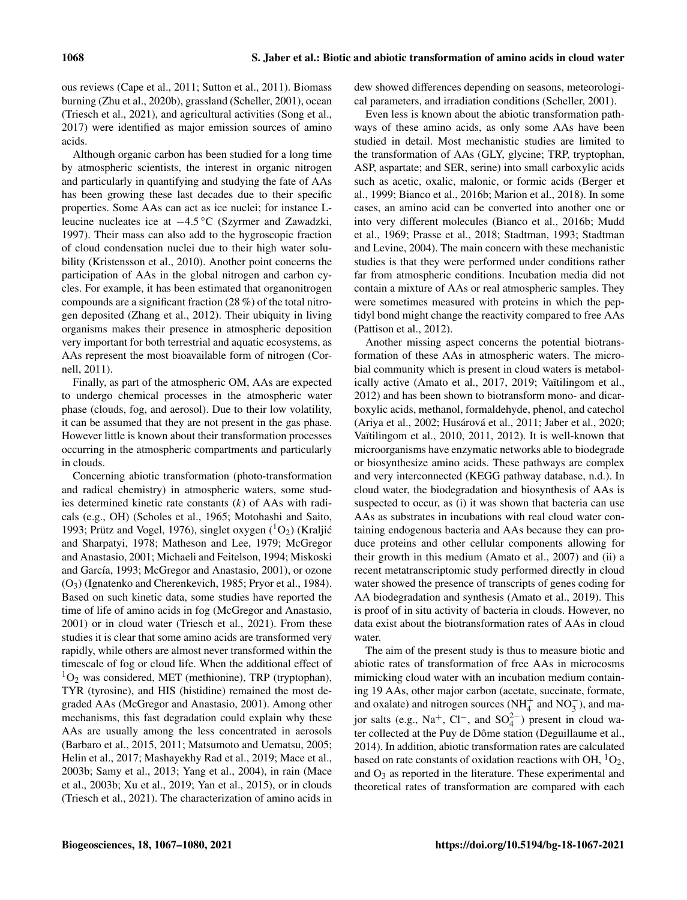ous reviews (Cape et al., 2011; Sutton et al., 2011). Biomass burning (Zhu et al., 2020b), grassland (Scheller, 2001), ocean (Triesch et al., 2021), and agricultural activities (Song et al., 2017) were identified as major emission sources of amino acids.

Although organic carbon has been studied for a long time by atmospheric scientists, the interest in organic nitrogen and particularly in quantifying and studying the fate of AAs has been growing these last decades due to their specific properties. Some AAs can act as ice nuclei; for instance Lleucine nucleates ice at −4.5 ◦C (Szyrmer and Zawadzki, 1997). Their mass can also add to the hygroscopic fraction of cloud condensation nuclei due to their high water solubility (Kristensson et al., 2010). Another point concerns the participation of AAs in the global nitrogen and carbon cycles. For example, it has been estimated that organonitrogen compounds are a significant fraction (28 %) of the total nitrogen deposited (Zhang et al., 2012). Their ubiquity in living organisms makes their presence in atmospheric deposition very important for both terrestrial and aquatic ecosystems, as AAs represent the most bioavailable form of nitrogen (Cornell, 2011).

Finally, as part of the atmospheric OM, AAs are expected to undergo chemical processes in the atmospheric water phase (clouds, fog, and aerosol). Due to their low volatility, it can be assumed that they are not present in the gas phase. However little is known about their transformation processes occurring in the atmospheric compartments and particularly in clouds.

Concerning abiotic transformation (photo-transformation and radical chemistry) in atmospheric waters, some studies determined kinetic rate constants  $(k)$  of AAs with radicals (e.g., OH) (Scholes et al., 1965; Motohashi and Saito, 1993; Prütz and Vogel, 1976), singlet oxygen  $({}^{1}O_{2})$  (Kraljić and Sharpatyi, 1978; Matheson and Lee, 1979; McGregor and Anastasio, 2001; Michaeli and Feitelson, 1994; Miskoski and García, 1993; McGregor and Anastasio, 2001), or ozone (O3) (Ignatenko and Cherenkevich, 1985; Pryor et al., 1984). Based on such kinetic data, some studies have reported the time of life of amino acids in fog (McGregor and Anastasio, 2001) or in cloud water (Triesch et al., 2021). From these studies it is clear that some amino acids are transformed very rapidly, while others are almost never transformed within the timescale of fog or cloud life. When the additional effect of  ${}^{1}O_{2}$  was considered, MET (methionine), TRP (tryptophan), TYR (tyrosine), and HIS (histidine) remained the most degraded AAs (McGregor and Anastasio, 2001). Among other mechanisms, this fast degradation could explain why these AAs are usually among the less concentrated in aerosols (Barbaro et al., 2015, 2011; Matsumoto and Uematsu, 2005; Helin et al., 2017; Mashayekhy Rad et al., 2019; Mace et al., 2003b; Samy et al., 2013; Yang et al., 2004), in rain (Mace et al., 2003b; Xu et al., 2019; Yan et al., 2015), or in clouds (Triesch et al., 2021). The characterization of amino acids in

dew showed differences depending on seasons, meteorological parameters, and irradiation conditions (Scheller, 2001).

Even less is known about the abiotic transformation pathways of these amino acids, as only some AAs have been studied in detail. Most mechanistic studies are limited to the transformation of AAs (GLY, glycine; TRP, tryptophan, ASP, aspartate; and SER, serine) into small carboxylic acids such as acetic, oxalic, malonic, or formic acids (Berger et al., 1999; Bianco et al., 2016b; Marion et al., 2018). In some cases, an amino acid can be converted into another one or into very different molecules (Bianco et al., 2016b; Mudd et al., 1969; Prasse et al., 2018; Stadtman, 1993; Stadtman and Levine, 2004). The main concern with these mechanistic studies is that they were performed under conditions rather far from atmospheric conditions. Incubation media did not contain a mixture of AAs or real atmospheric samples. They were sometimes measured with proteins in which the peptidyl bond might change the reactivity compared to free AAs (Pattison et al., 2012).

Another missing aspect concerns the potential biotransformation of these AAs in atmospheric waters. The microbial community which is present in cloud waters is metabolically active (Amato et al., 2017, 2019; Vaïtilingom et al., 2012) and has been shown to biotransform mono- and dicarboxylic acids, methanol, formaldehyde, phenol, and catechol (Ariya et al., 2002; Husárová et al., 2011; Jaber et al., 2020; Vaïtilingom et al., 2010, 2011, 2012). It is well-known that microorganisms have enzymatic networks able to biodegrade or biosynthesize amino acids. These pathways are complex and very interconnected (KEGG pathway database, n.d.). In cloud water, the biodegradation and biosynthesis of AAs is suspected to occur, as (i) it was shown that bacteria can use AAs as substrates in incubations with real cloud water containing endogenous bacteria and AAs because they can produce proteins and other cellular components allowing for their growth in this medium (Amato et al., 2007) and (ii) a recent metatranscriptomic study performed directly in cloud water showed the presence of transcripts of genes coding for AA biodegradation and synthesis (Amato et al., 2019). This is proof of in situ activity of bacteria in clouds. However, no data exist about the biotransformation rates of AAs in cloud water.

The aim of the present study is thus to measure biotic and abiotic rates of transformation of free AAs in microcosms mimicking cloud water with an incubation medium containing 19 AAs, other major carbon (acetate, succinate, formate, and oxalate) and nitrogen sources ( $NH_4^+$  and  $NO_3^-$ ), and major salts (e.g., Na<sup>+</sup>, Cl<sup>-</sup>, and SO<sub>4</sub><sup>2</sup>) present in cloud water collected at the Puy de Dôme station (Deguillaume et al., 2014). In addition, abiotic transformation rates are calculated based on rate constants of oxidation reactions with OH,  ${}^{1}O_{2}$ , and  $O_3$  as reported in the literature. These experimental and theoretical rates of transformation are compared with each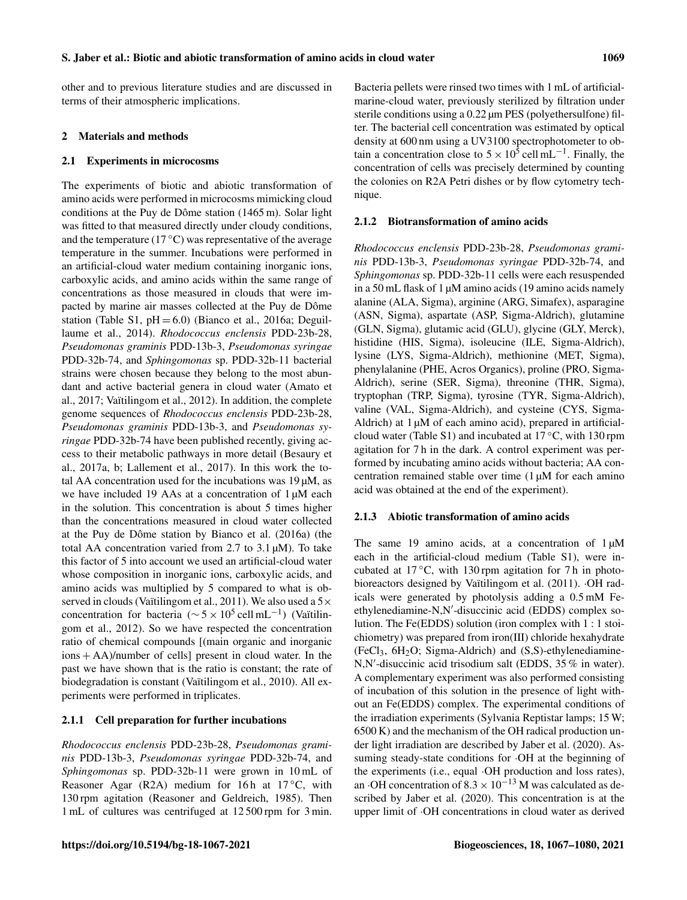other and to previous literature studies and are discussed in terms of their atmospheric implications.

#### 2 Materials and methods

#### 2.1 Experiments in microcosms

The experiments of biotic and abiotic transformation of amino acids were performed in microcosms mimicking cloud conditions at the Puy de Dôme station (1465 m). Solar light was fitted to that measured directly under cloudy conditions, and the temperature ( $17\,^{\circ}\text{C}$ ) was representative of the average temperature in the summer. Incubations were performed in an artificial-cloud water medium containing inorganic ions, carboxylic acids, and amino acids within the same range of concentrations as those measured in clouds that were impacted by marine air masses collected at the Puy de Dôme station (Table S1,  $pH = 6.0$ ) (Bianco et al., 2016a; Deguillaume et al., 2014). *Rhodococcus enclensis* PDD-23b-28, *Pseudomonas graminis* PDD-13b-3, *Pseudomonas syringae* PDD-32b-74, and *Sphingomonas* sp. PDD-32b-11 bacterial strains were chosen because they belong to the most abundant and active bacterial genera in cloud water (Amato et al., 2017; Vaïtilingom et al., 2012). In addition, the complete genome sequences of *Rhodococcus enclensis* PDD-23b-28, *Pseudomonas graminis* PDD-13b-3, and *Pseudomonas syringae* PDD-32b-74 have been published recently, giving access to their metabolic pathways in more detail (Besaury et al., 2017a, b; Lallement et al., 2017). In this work the total AA concentration used for the incubations was  $19 \mu M$ , as we have included 19 AAs at a concentration of  $1 \mu M$  each in the solution. This concentration is about 5 times higher than the concentrations measured in cloud water collected at the Puy de Dôme station by Bianco et al. (2016a) (the total AA concentration varied from 2.7 to 3.1  $\mu$ M). To take this factor of 5 into account we used an artificial-cloud water whose composition in inorganic ions, carboxylic acids, and amino acids was multiplied by 5 compared to what is observed in clouds (Vaïtilingom et al., 2011). We also used a  $5\times$ concentration for bacteria ( $\sim 5 \times 10^5$  cell mL<sup>-1</sup>) (Vaïtilingom et al., 2012). So we have respected the concentration ratio of chemical compounds [(main organic and inorganic  $\cos + AA$ )/number of cells] present in cloud water. In the past we have shown that is the ratio is constant; the rate of biodegradation is constant (Vaïtilingom et al., 2010). All experiments were performed in triplicates.

#### 2.1.1 Cell preparation for further incubations

*Rhodococcus enclensis* PDD-23b-28, *Pseudomonas graminis* PDD-13b-3, *Pseudomonas syringae* PDD-32b-74, and *Sphingomonas* sp. PDD-32b-11 were grown in 10 mL of Reasoner Agar (R2A) medium for 16 h at 17 $°C$ , with 130 rpm agitation (Reasoner and Geldreich, 1985). Then 1 mL of cultures was centrifuged at 12 500 rpm for 3 min. Bacteria pellets were rinsed two times with 1 mL of artificialmarine-cloud water, previously sterilized by filtration under sterile conditions using a 0.22  $\mu$ m PES (polyethersulfone) filter. The bacterial cell concentration was estimated by optical density at 600 nm using a UV3100 spectrophotometer to obtain a concentration close to  $5 \times 10^5$  cell mL<sup>-1</sup>. Finally, the concentration of cells was precisely determined by counting the colonies on R2A Petri dishes or by flow cytometry technique.

#### 2.1.2 Biotransformation of amino acids

*Rhodococcus enclensis* PDD-23b-28, *Pseudomonas graminis* PDD-13b-3, *Pseudomonas syringae* PDD-32b-74, and *Sphingomonas* sp. PDD-32b-11 cells were each resuspended in a 50 mL flask of 1 µM amino acids (19 amino acids namely alanine (ALA, Sigma), arginine (ARG, Simafex), asparagine (ASN, Sigma), aspartate (ASP, Sigma-Aldrich), glutamine (GLN, Sigma), glutamic acid (GLU), glycine (GLY, Merck), histidine (HIS, Sigma), isoleucine (ILE, Sigma-Aldrich), lysine (LYS, Sigma-Aldrich), methionine (MET, Sigma), phenylalanine (PHE, Acros Organics), proline (PRO, Sigma-Aldrich), serine (SER, Sigma), threonine (THR, Sigma), tryptophan (TRP, Sigma), tyrosine (TYR, Sigma-Aldrich), valine (VAL, Sigma-Aldrich), and cysteine (CYS, Sigma-Aldrich) at 1  $\mu$ M of each amino acid), prepared in artificialcloud water (Table S1) and incubated at 17 ◦C, with 130 rpm agitation for 7 h in the dark. A control experiment was performed by incubating amino acids without bacteria; AA concentration remained stable over time  $(1 \mu M)$  for each amino acid was obtained at the end of the experiment).

#### 2.1.3 Abiotic transformation of amino acids

The same 19 amino acids, at a concentration of  $1 \mu M$ each in the artificial-cloud medium (Table S1), were incubated at  $17^{\circ}$ C, with 130 rpm agitation for 7 h in photobioreactors designed by Vaïtilingom et al. (2011). · OH radicals were generated by photolysis adding a 0.5 mM Feethylenediamine-N,N'-disuccinic acid (EDDS) complex solution. The Fe(EDDS) solution (iron complex with 1 : 1 stoichiometry) was prepared from iron(III) chloride hexahydrate  $(FeCl<sub>3</sub>, 6H<sub>2</sub>O; Sigma-Aldrich)$  and  $(S,S)$ -ethylenediamine-N,N'-disuccinic acid trisodium salt (EDDS, 35 % in water). A complementary experiment was also performed consisting of incubation of this solution in the presence of light without an Fe(EDDS) complex. The experimental conditions of the irradiation experiments (Sylvania Reptistar lamps; 15 W; 6500 K) and the mechanism of the OH radical production under light irradiation are described by Jaber et al. (2020). Assuming steady-state conditions for ·OH at the beginning of the experiments (i.e., equal ·OH production and loss rates), an  $\cdot$ OH concentration of 8.3 × 10<sup>-13</sup> M was calculated as described by Jaber et al. (2020). This concentration is at the upper limit of ·OH concentrations in cloud water as derived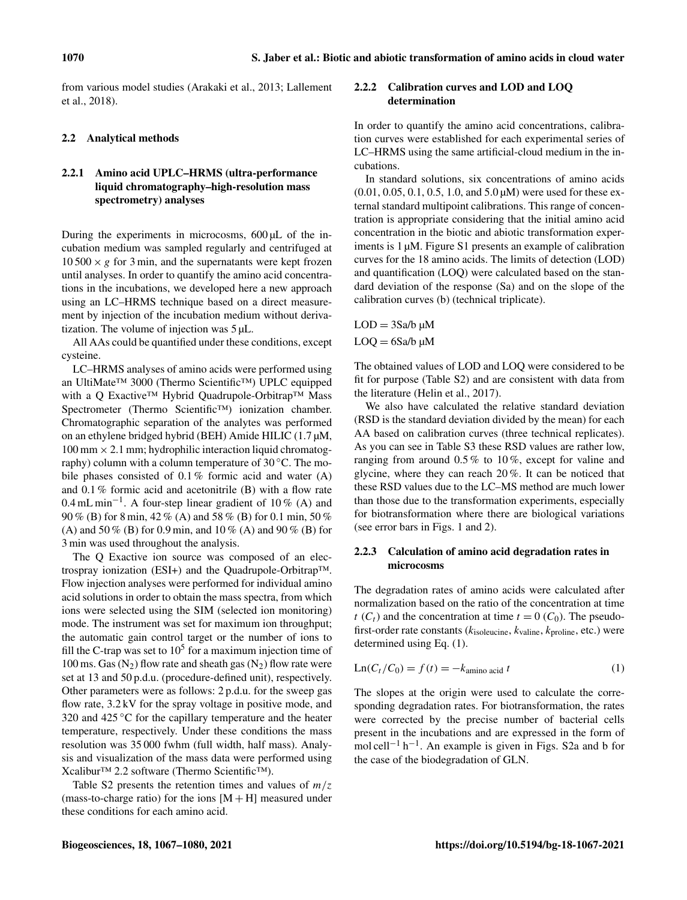from various model studies (Arakaki et al., 2013; Lallement et al., 2018).

#### 2.2 Analytical methods

# 2.2.1 Amino acid UPLC–HRMS (ultra-performance liquid chromatography–high-resolution mass spectrometry) analyses

During the experiments in microcosms,  $600 \mu L$  of the incubation medium was sampled regularly and centrifuged at  $10\,500 \times g$  for 3 min, and the supernatants were kept frozen until analyses. In order to quantify the amino acid concentrations in the incubations, we developed here a new approach using an LC–HRMS technique based on a direct measurement by injection of the incubation medium without derivatization. The volume of injection was 5 µL.

All AAs could be quantified under these conditions, except cysteine.

LC–HRMS analyses of amino acids were performed using an UltiMate™ 3000 (Thermo Scientific™) UPLC equipped with a Q Exactive™ Hybrid Quadrupole-Orbitrap™ Mass Spectrometer (Thermo Scientific™) ionization chamber. Chromatographic separation of the analytes was performed on an ethylene bridged hybrid (BEH) Amide HILIC (1.7 µM,  $100 \text{ mm} \times 2.1 \text{ mm}$ ; hydrophilic interaction liquid chromatography) column with a column temperature of 30 ◦C. The mobile phases consisted of 0.1% formic acid and water (A) and 0.1 % formic acid and acetonitrile (B) with a flow rate 0.4 mL min<sup>-1</sup>. A four-step linear gradient of 10% (A) and 90 % (B) for 8 min, 42 % (A) and 58 % (B) for 0.1 min, 50 % (A) and 50 % (B) for 0.9 min, and 10 % (A) and 90 % (B) for 3 min was used throughout the analysis.

The Q Exactive ion source was composed of an electrospray ionization (ESI+) and the Quadrupole-Orbitrap™. Flow injection analyses were performed for individual amino acid solutions in order to obtain the mass spectra, from which ions were selected using the SIM (selected ion monitoring) mode. The instrument was set for maximum ion throughput; the automatic gain control target or the number of ions to fill the C-trap was set to  $10^5$  for a maximum injection time of 100 ms. Gas  $(N_2)$  flow rate and sheath gas  $(N_2)$  flow rate were set at 13 and 50 p.d.u. (procedure-defined unit), respectively. Other parameters were as follows: 2 p.d.u. for the sweep gas flow rate, 3.2 kV for the spray voltage in positive mode, and 320 and 425  $\degree$ C for the capillary temperature and the heater temperature, respectively. Under these conditions the mass resolution was 35 000 fwhm (full width, half mass). Analysis and visualization of the mass data were performed using Xcalibur™ 2.2 software (Thermo Scientific™).

Table S2 presents the retention times and values of  $m/z$ (mass-to-charge ratio) for the ions  $[M + H]$  measured under these conditions for each amino acid.

# 2.2.2 Calibration curves and LOD and LOQ determination

In order to quantify the amino acid concentrations, calibration curves were established for each experimental series of LC–HRMS using the same artificial-cloud medium in the incubations.

In standard solutions, six concentrations of amino acids (0.01, 0.05, 0.1, 0.5, 1.0, and 5.0 µM) were used for these external standard multipoint calibrations. This range of concentration is appropriate considering that the initial amino acid concentration in the biotic and abiotic transformation experiments is 1 µM. Figure S1 presents an example of calibration curves for the 18 amino acids. The limits of detection (LOD) and quantification (LOQ) were calculated based on the standard deviation of the response (Sa) and on the slope of the calibration curves (b) (technical triplicate).

 $LOD = 3$ Sa/b  $\mu$ M  $LOQ = 6$ Sa/b  $\mu$ M

The obtained values of LOD and LOQ were considered to be fit for purpose (Table S2) and are consistent with data from the literature (Helin et al., 2017).

We also have calculated the relative standard deviation (RSD is the standard deviation divided by the mean) for each AA based on calibration curves (three technical replicates). As you can see in Table S3 these RSD values are rather low, ranging from around 0.5 % to 10 %, except for valine and glycine, where they can reach 20 %. It can be noticed that these RSD values due to the LC–MS method are much lower than those due to the transformation experiments, especially for biotransformation where there are biological variations (see error bars in Figs. 1 and 2).

# 2.2.3 Calculation of amino acid degradation rates in microcosms

The degradation rates of amino acids were calculated after normalization based on the ratio of the concentration at time  $t$  (C<sub>t</sub>) and the concentration at time  $t = 0$  (C<sub>0</sub>). The pseudofirst-order rate constants ( $k_{\text{isoleucine}}, k_{\text{valine}}, k_{\text{proline}}, \text{etc.}$ ) were determined using Eq. (1).

$$
Ln(Ct/C0) = f(t) = -kamino acid t
$$
 (1)

The slopes at the origin were used to calculate the corresponding degradation rates. For biotransformation, the rates were corrected by the precise number of bacterial cells present in the incubations and are expressed in the form of mol cell<sup>-1</sup> h<sup>-1</sup>. An example is given in Figs. S2a and b for the case of the biodegradation of GLN.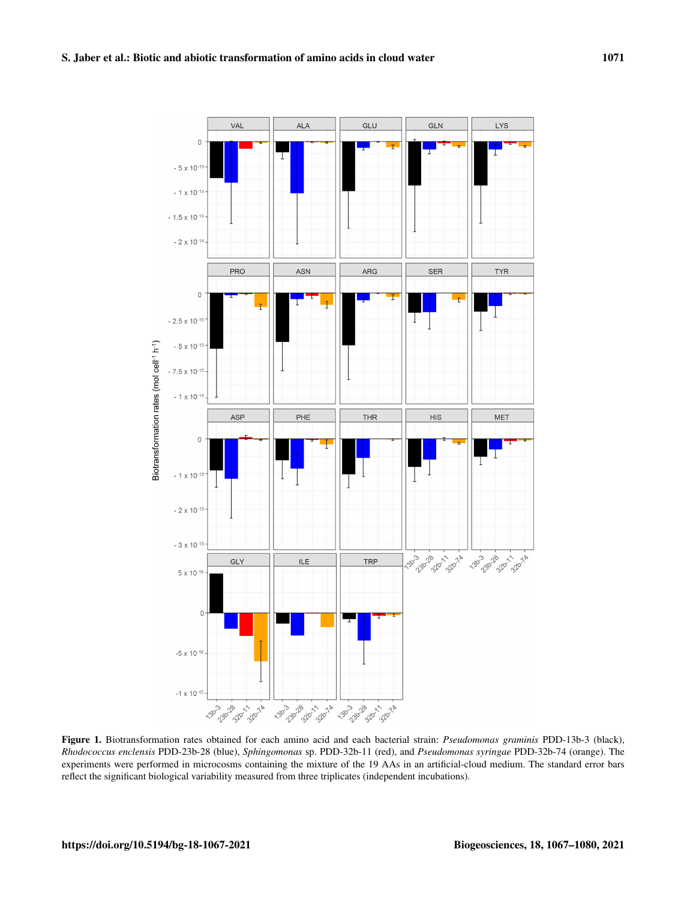

Figure 1. Biotransformation rates obtained for each amino acid and each bacterial strain: *Pseudomonas graminis* PDD-13b-3 (black), *Rhodococcus enclensis* PDD-23b-28 (blue), *Sphingomonas* sp. PDD-32b-11 (red), and *Pseudomonas syringae* PDD-32b-74 (orange). The experiments were performed in microcosms containing the mixture of the 19 AAs in an artificial-cloud medium. The standard error bars reflect the significant biological variability measured from three triplicates (independent incubations).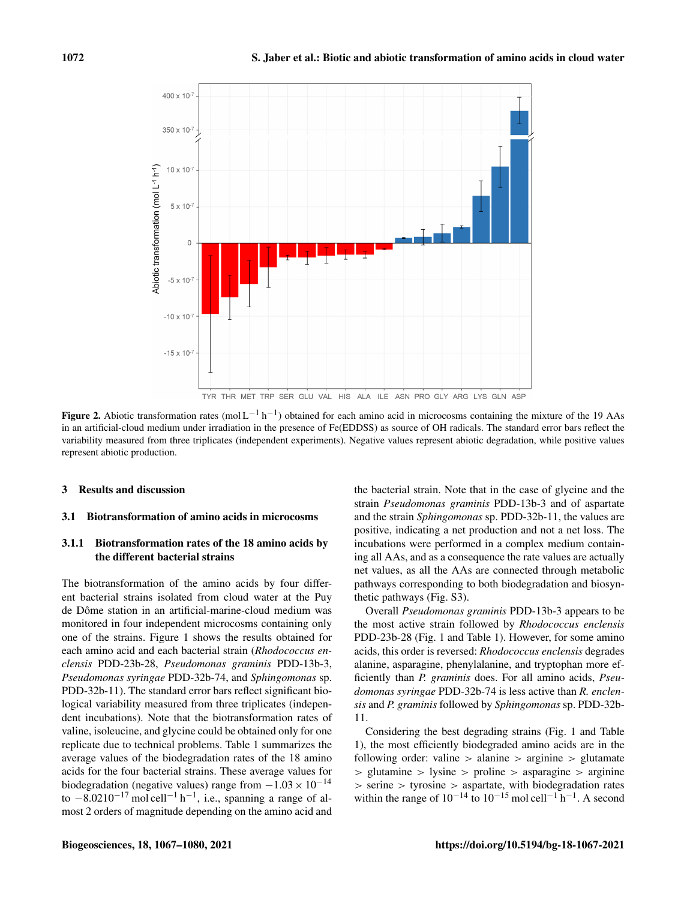

Figure 2. Abiotic transformation rates (mol  $L^{-1}$  h<sup>-1</sup>) obtained for each amino acid in microcosms containing the mixture of the 19 AAs in an artificial-cloud medium under irradiation in the presence of Fe(EDDSS) as source of OH radicals. The standard error bars reflect the variability measured from three triplicates (independent experiments). Negative values represent abiotic degradation, while positive values represent abiotic production.

#### 3 Results and discussion

#### 3.1 Biotransformation of amino acids in microcosms

### 3.1.1 Biotransformation rates of the 18 amino acids by the different bacterial strains

The biotransformation of the amino acids by four different bacterial strains isolated from cloud water at the Puy de Dôme station in an artificial-marine-cloud medium was monitored in four independent microcosms containing only one of the strains. Figure 1 shows the results obtained for each amino acid and each bacterial strain (*Rhodococcus enclensis* PDD-23b-28, *Pseudomonas graminis* PDD-13b-3, *Pseudomonas syringae* PDD-32b-74, and *Sphingomonas* sp. PDD-32b-11). The standard error bars reflect significant biological variability measured from three triplicates (independent incubations). Note that the biotransformation rates of valine, isoleucine, and glycine could be obtained only for one replicate due to technical problems. Table 1 summarizes the average values of the biodegradation rates of the 18 amino acids for the four bacterial strains. These average values for biodegradation (negative values) range from  $-1.03 \times 10^{-14}$ to  $-8.0210^{-17}$  mol cell<sup>-1</sup> h<sup>-1</sup>, i.e., spanning a range of almost 2 orders of magnitude depending on the amino acid and the bacterial strain. Note that in the case of glycine and the strain *Pseudomonas graminis* PDD-13b-3 and of aspartate and the strain *Sphingomonas* sp. PDD-32b-11, the values are positive, indicating a net production and not a net loss. The incubations were performed in a complex medium containing all AAs, and as a consequence the rate values are actually net values, as all the AAs are connected through metabolic pathways corresponding to both biodegradation and biosynthetic pathways (Fig. S3).

Overall *Pseudomonas graminis* PDD-13b-3 appears to be the most active strain followed by *Rhodococcus enclensis* PDD-23b-28 (Fig. 1 and Table 1). However, for some amino acids, this order is reversed: *Rhodococcus enclensis* degrades alanine, asparagine, phenylalanine, and tryptophan more efficiently than *P. graminis* does. For all amino acids, *Pseudomonas syringae* PDD-32b-74 is less active than *R. enclensis* and *P. graminis* followed by *Sphingomonas* sp. PDD-32b-11.

Considering the best degrading strains (Fig. 1 and Table 1), the most efficiently biodegraded amino acids are in the following order: valine  $>$  alanine  $>$  arginine  $>$  glutamate > glutamine > lysine > proline > asparagine > arginine > serine > tyrosine > aspartate, with biodegradation rates within the range of  $10^{-14}$  to  $10^{-15}$  mol cell<sup>-1</sup> h<sup>-1</sup>. A second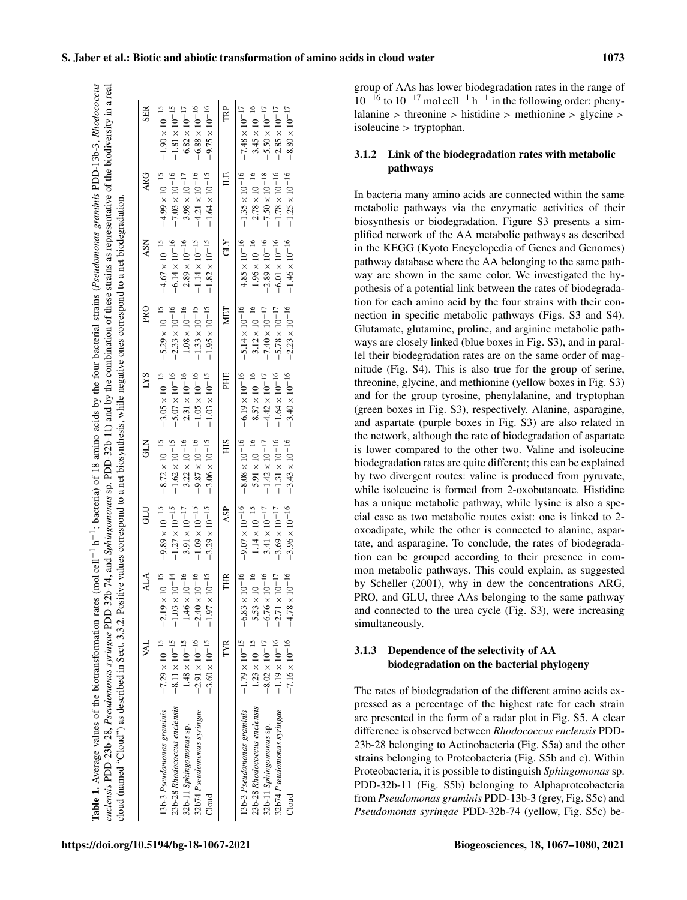| enclensis PDD-23b-28, Pseudomonas syringae PDD-32b-74, and Sphingomonas sp. PDD-32b-11) and by the combination of these strains as representative of the biodiversity in a real<br>cloud (named "Cloud") as described in Sect. 3.3.2. Positive values correspond to a net biosynthesis, while negative ones correspond to a net biodegradation. |                                                                                                                                 |                                                                                                                             |                                                                                                                               |                                                                                                                                   |                                                                                                                                 |                                                                                                                                   |                                                                                                                               |                                                                                                                                   |                                                                                                                                 |
|-------------------------------------------------------------------------------------------------------------------------------------------------------------------------------------------------------------------------------------------------------------------------------------------------------------------------------------------------|---------------------------------------------------------------------------------------------------------------------------------|-----------------------------------------------------------------------------------------------------------------------------|-------------------------------------------------------------------------------------------------------------------------------|-----------------------------------------------------------------------------------------------------------------------------------|---------------------------------------------------------------------------------------------------------------------------------|-----------------------------------------------------------------------------------------------------------------------------------|-------------------------------------------------------------------------------------------------------------------------------|-----------------------------------------------------------------------------------------------------------------------------------|---------------------------------------------------------------------------------------------------------------------------------|
|                                                                                                                                                                                                                                                                                                                                                 | À                                                                                                                               | ALA                                                                                                                         | GU                                                                                                                            | 3<br>3                                                                                                                            | <b>LYS</b>                                                                                                                      | PRO                                                                                                                               | ASN                                                                                                                           | <b>ARG</b>                                                                                                                        | <b>SER</b>                                                                                                                      |
| 23b-28 Rhodococcus enclensis<br>32b74 Pseudomonas syringae<br>13b-3 Pseudomonas graminis<br>32b-11 Sphingomonas sp.<br>Cloud                                                                                                                                                                                                                    | $-7.29 \times 10^{-15}$<br>$-8.11\times10^{-15}$<br>$-2.91 \times 10^{-16}$<br>$-1.48\times10^{-15}$<br>$-3.60 \times 10^{-15}$ | $-2.19 \times 10^{-15}$<br>$-1.03\times10^{-14}$<br>$-1.46\times10^{-16}$<br>$-2.40\times10^{-16}$<br>$-1.97\times10^{-15}$ | $-9.89\times10^{-15}$<br>$-1.27\times10^{-15}$<br>$-1.09\times10^{-15}$<br>$-3.29 \times 10^{-15}$<br>$-3.91 \times 10^{-17}$ | $-8.72 \times 10^{-15}$<br>$-1.62\times10^{-15}$<br>$-3.22 \times 10^{-16}$<br>$-9.87 \times 10^{-16}$<br>$-3.06 \times 10^{-15}$ | $-3.05 \times 10^{-15}$<br>$-5.07 \times 10^{-16}$<br>$-2.31 \times 10^{-16}$<br>$-1.05\times10^{-16}$<br>$-1.03\times10^{-15}$ | $-2.33 \times 10^{-16}$<br>$-5.29 \times 10^{-15}$<br>$-1.08\times10^{-16}$<br>$-1.33 \times 10^{-15}$<br>$-1.95\times10^{-15}$   | $-6.14\times10^{-16}$<br>$-4.67\times10^{-15}$<br>$-2.89 \times 10^{-16}$<br>$-1.14\times10^{-15}$<br>$-1.82 \times 10^{-15}$ | $-7.03\times10^{-16}$<br>$-4.99\times10^{-15}$<br>$-4.21 \times 10^{-16}$<br>$-3.98 \times 10^{-17}$<br>$-1.64\times10^{-15}$     | $-9.75 \times 10^{-16}$<br>$-1.90\times10^{-15}$<br>$-1.81\times10^{-15}$<br>$-6.88\times10^{-16}$<br>$-6.82\times10^{-17}$     |
|                                                                                                                                                                                                                                                                                                                                                 | TYR                                                                                                                             | THR                                                                                                                         | ASP                                                                                                                           | SIH                                                                                                                               | PHE                                                                                                                             | MET                                                                                                                               | <b>CLY</b>                                                                                                                    | $\mathbb{H}$                                                                                                                      | TRP                                                                                                                             |
| 23b-28 Rhodococcus enclensis<br>32b74 Pseudomonas syringae<br>13b-3 Pseudomonas graminis<br>32b-11 Sphingomonas sp.<br>$_{\rm cloud}^{\rm d}$                                                                                                                                                                                                   | $-7.16 \times 10^{-16}$<br>$-1.79\times10^{-15}$<br>$-1.19\times10^{-16}$<br>$-1.23 \times 10^{-15}$<br>$-8.02\times10^{-17}$   | $-6.83\times10^{-16}$<br>$-5.53 \times 10^{-16}$<br>$-6.76\times10^{-16}$<br>$-4.78\times10^{-16}$<br>$-2.71\times10^{-17}$ | $-9.07\times10^{-16}$<br>$-3.96 \times 10^{-16}$<br>$-1.14\times10^{-15}$<br>$3.41\times10^{-17}$<br>$-3.69 \times 10^{-17}$  | $-8.08\times10^{-16}$<br>$-5.91 \times 10^{-16}$<br>$-1.31 \times 10^{-16}$<br>$-3.43 \times 10^{-16}$<br>$-1.42\times10^{-17}$   | $-6.19\times10^{-16}$<br>$-8.57\times10^{-16}$<br>$-1.64\times10^{-16}$<br>$-3.40 \times 10^{-16}$<br>$-4.42\times10^{-17}$     | $-5.14 \times 10^{-16}$<br>$-3.12 \times 10^{-16}$<br>$-2.23 \times 10^{-16}$<br>$-7.40\times10^{-17}$<br>$-5.78 \times 10^{-17}$ | $4.85\times10^{-16}$<br>$-1.96 \times 10^{-16}$<br>$-2.89 \times 10^{-16}$<br>$-6.01\times10^{-16}$<br>$-1.46\times10^{-16}$  | $-1.35 \times 10^{-16}$<br>$-1.25 \times 10^{-16}$<br>$-2.78 \times 10^{-16}$<br>$-7.50\times10^{-18}$<br>$-1.78 \times 10^{-16}$ | $-3.45 \times 10^{-16}$<br>$-7.48\times10^{-17}$<br>$-2.85 \times 10^{-17}$<br>$-8.80\times10^{-17}$<br>$-5.50 \times 10^{-17}$ |

group of AAs has lower biodegradation rates in the range of  $10^{-16}$  to  $10^{-17}$  mol cell<sup>-1</sup> h<sup>-1</sup> in the following order: pheny $l$ lalanine > threonine > histidine > methionine > glycine >  $isoleucine > tryptophan.$ 

#### 3.1.2 Link of the biodegradation rates with metabolic pathways

In bacteria many amino acids are connected within the same metabolic pathways via the enzymatic activities of their biosynthesis or biodegradation. Figure S3 presents a simplified network of the AA metabolic pathways as described in the KEGG (Kyoto Encyclopedia of Genes and Genomes) pathway database where the AA belonging to the same pathway are shown in the same color. We investigated the hypothesis of a potential link between the rates of biodegradation for each amino acid by the four strains with their connection in specific metabolic pathways (Figs. S3 and S4). Glutamate, glutamine, proline, and arginine metabolic pathways are closely linked (blue boxes in Fig. S3), and in parallel their biodegradation rates are on the same order of magnitude (Fig. S4). This is also true for the group of serine, threonine, glycine, and methionine (yellow boxes in Fig. S3) and for the group tyrosine, phenylalanine, and tryptophan (green boxes in Fig. S3), respectively. Alanine, asparagine, and aspartate (purple boxes in Fig. S3) are also related in the network, although the rate of biodegradation of aspartate is lower compared to the other two. Valine and isoleucine biodegradation rates are quite different; this can be explained by two divergent routes: valine is produced from pyruvate, while isoleucine is formed from 2-oxobutanoate. Histidine has a unique metabolic pathway, while lysine is also a special case as two metabolic routes exist: one is linked to 2 oxoadipate, while the other is connected to alanine, aspartate, and asparagine. To conclude, the rates of biodegradation can be grouped according to their presence in common metabolic pathways. This could explain, as suggested by Scheller (2001), why in dew the concentrations ARG, PRO, and GLU, three AAs belonging to the same pathway and connected to the urea cycle (Fig. S3), were increasing simultaneously.

# 3.1.3 Dependence of the selectivity of AA biodegradation on the bacterial phylogeny

The rates of biodegradation of the different amino acids expressed as a percentage of the highest rate for each strain are presented in the form of a radar plot in Fig. S5. A clear difference is observed between *Rhodococcus enclensis* PDD-23b-28 belonging to Actinobacteria (Fig. S5a) and the other strains belonging to Proteobacteria (Fig. S5b and c). Within Proteobacteria, it is possible to distinguish *Sphingomonas* sp. PDD-32b-11 (Fig. S5b) belonging to Alphaproteobacteria from *Pseudomonas graminis* PDD-13b-3 (grey, Fig. S5c) and *Pseudomonas syringae* PDD-32b-74 (yellow, Fig. S5c) be-

### S. Jaber et al.: Biotic and abiotic transformation of amino acids in cloud water 1073

Table 1. Average values of the biotransformation rates (mol cell

**Table 1.** Average values of the biotransformation rates (molcell<sup>-1</sup> h<sup>-1</sup>; bacteria) of 18 amino acids by the four bacterial strains (*Pseudomonas graminis* PDD-13b-3, *Rhodococcus* 

−1; bacteria) of 18 amino acids by the four bacterial strains (*Pseudomonas graminis* PDD-13b-3, *Rhodococcus*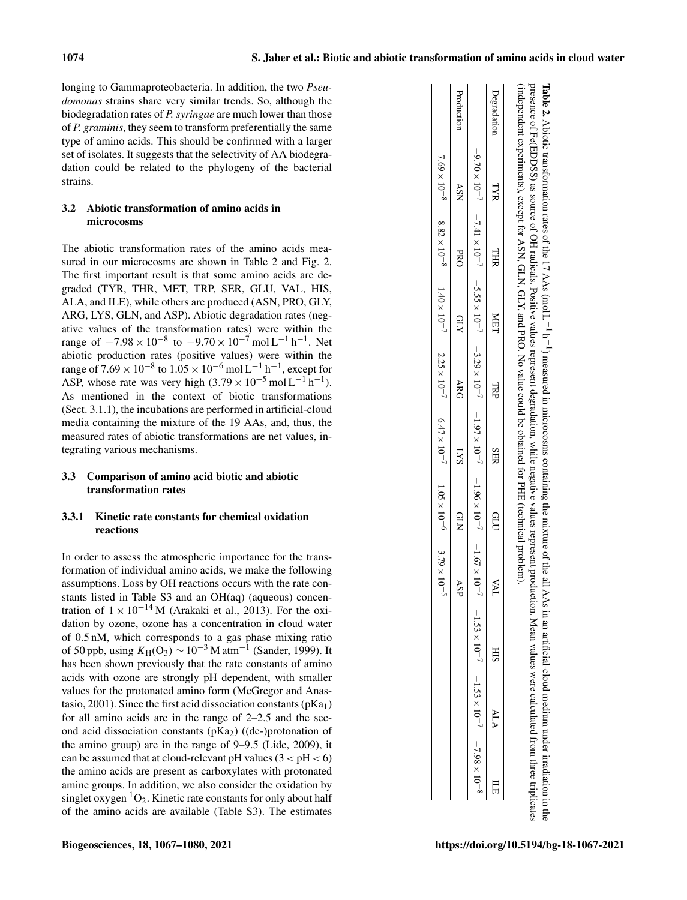Table 2.

Abiotic transformation rates of the  $17$  AAs (mol L

−1 h −1

) measured in microcosms containing the mixture of the all AAs in an artificial-cloud medium under irradiation in the

longing to Gammaproteobacteria. In addition, the two *Pseudomonas* strains share very similar trends. So, although the biodegradation rates of *P. syringae* are much lower than those of *P. graminis*, they seem to transform preferentially the same type of amino acids. This should be confirmed with a larger set of isolates. It suggests that the selectivity of AA biodegradation could be related to the phylogeny of the bacterial strains.

# 3.2 Abiotic transformation of amino acids in microcosms

The abiotic transformation rates of the amino acids measured in our microcosms are shown in Table 2 and Fig. 2. The first important result is that some amino acids are degraded (TYR, THR, MET, TRP, SER, GLU, VAL, HIS, ALA, and ILE), while others are produced (ASN, PRO, GLY, ARG, LYS, GLN, and ASP). Abiotic degradation rates (negative values of the transformation rates) were within the range of  $-7.98 \times 10^{-8}$  to  $-9.70 \times 10^{-7}$  mol L<sup>-1</sup> h<sup>-1</sup>. Net abiotic production rates (positive values) were within the range of  $7.69 \times 10^{-8}$  to  $1.05 \times 10^{-6}$  mol  $L^{-1}$  h<sup>-1</sup>, except for ASP, whose rate was very high  $(3.79 \times 10^{-5} \text{ mol L}^{-1} \text{ h}^{-1})$ . As mentioned in the context of biotic transformations (Sect. 3.1.1), the incubations are performed in artificial-cloud media containing the mixture of the 19 AAs, and, thus, the measured rates of abiotic transformations are net values, integrating various mechanisms.

# 3.3 Comparison of amino acid biotic and abiotic transformation rates

# 3.3.1 Kinetic rate constants for chemical oxidation reactions

In order to assess the atmospheric importance for the transformation of individual amino acids, we make the following assumptions. Loss by OH reactions occurs with the rate constants listed in Table S3 and an OH(aq) (aqueous) concentration of  $1 \times 10^{-14}$  M (Arakaki et al., 2013). For the oxidation by ozone, ozone has a concentration in cloud water of 0.5 nM, which corresponds to a gas phase mixing ratio of 50 ppb, using  $K_H(O_3) \sim 10^{-3}$  M atm<sup>-1</sup> (Sander, 1999). It has been shown previously that the rate constants of amino acids with ozone are strongly pH dependent, with smaller values for the protonated amino form (McGregor and Anastasio, 2001). Since the first acid dissociation constants  $(pKa<sub>1</sub>)$ for all amino acids are in the range of 2–2.5 and the second acid dissociation constants  $(pKa<sub>2</sub>)$  ((de-)protonation of the amino group) are in the range of 9–9.5 (Lide, 2009), it can be assumed that at cloud-relevant pH values  $(3 < pH < 6)$ the amino acids are present as carboxylates with protonated amine groups. In addition, we also consider the oxidation by singlet oxygen  ${}^{1}O_{2}$ . Kinetic rate constants for only about half of the amino acids are available (Table S3). The estimates

|     |            | $\Delta$ SP | 1.69 x 10-8 x 28, x 10-8 1.40 x 10-7 2.25 x 10-7 0.47 x 10-7 1.05 x 10-6 2.329 x 10-8 1.69 x 10-8 1.40 x 10-7 2.25 x 10-7 0.47 x 10-7 1.05 x 10-6<br>QLN<br>K | <b>LYS</b> | ARG | <b>ATD</b> | <b>DRO</b> | <b>NSV</b> | Production  |
|-----|------------|-------------|---------------------------------------------------------------------------------------------------------------------------------------------------------------|------------|-----|------------|------------|------------|-------------|
|     |            |             |                                                                                                                                                               |            |     |            |            |            |             |
| ALA | <b>SIH</b> | TVA         | QUU                                                                                                                                                           | SER        | TRP | MET        | <b>THR</b> | ЯҮТ        | Degradation |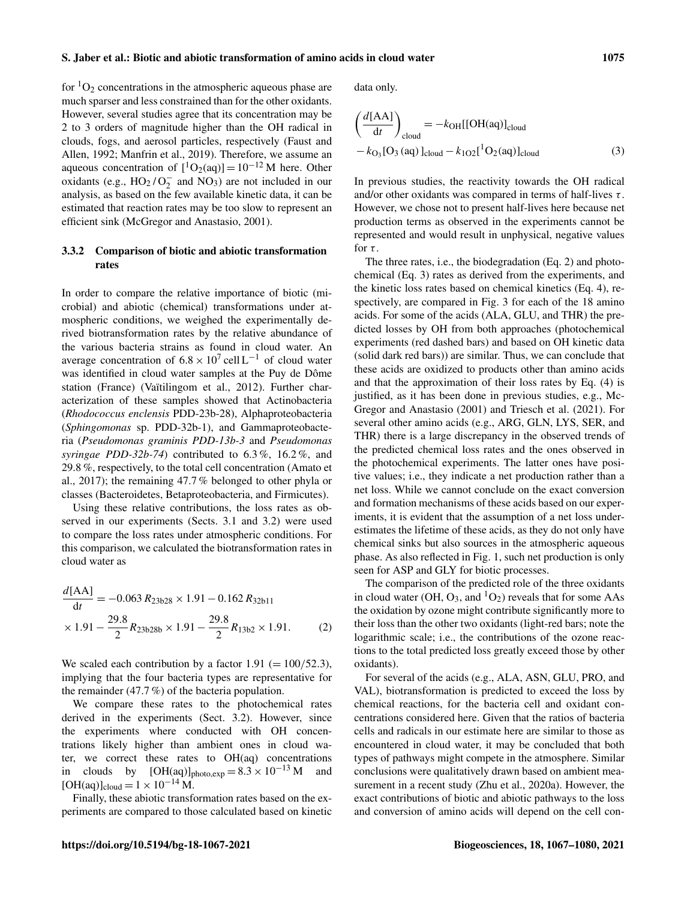for  ${}^{1}O_{2}$  concentrations in the atmospheric aqueous phase are much sparser and less constrained than for the other oxidants. However, several studies agree that its concentration may be 2 to 3 orders of magnitude higher than the OH radical in clouds, fogs, and aerosol particles, respectively (Faust and Allen, 1992; Manfrin et al., 2019). Therefore, we assume an aqueous concentration of  $[{}^{1}O_{2}(aq)] = 10^{-12}$  M here. Other oxidants (e.g.,  $HO_2/O_2^-$  and  $NO_3$ ) are not included in our analysis, as based on the few available kinetic data, it can be estimated that reaction rates may be too slow to represent an efficient sink (McGregor and Anastasio, 2001).

# 3.3.2 Comparison of biotic and abiotic transformation rates

In order to compare the relative importance of biotic (microbial) and abiotic (chemical) transformations under atmospheric conditions, we weighed the experimentally derived biotransformation rates by the relative abundance of the various bacteria strains as found in cloud water. An average concentration of  $6.8 \times 10^7$  cell L<sup>-1</sup> of cloud water was identified in cloud water samples at the Puy de Dôme station (France) (Vaïtilingom et al., 2012). Further characterization of these samples showed that Actinobacteria (*Rhodococcus enclensis* PDD-23b-28), Alphaproteobacteria (*Sphingomonas* sp. PDD-32b-1), and Gammaproteobacteria (*Pseudomonas graminis PDD-13b-3* and *Pseudomonas syringae PDD-32b-74*) contributed to 6.3 %, 16.2 %, and 29.8 %, respectively, to the total cell concentration (Amato et al., 2017); the remaining 47.7 % belonged to other phyla or classes (Bacteroidetes, Betaproteobacteria, and Firmicutes).

Using these relative contributions, the loss rates as observed in our experiments (Sects. 3.1 and 3.2) were used to compare the loss rates under atmospheric conditions. For this comparison, we calculated the biotransformation rates in cloud water as

$$
\frac{d[\text{AA}]}{\text{d}t} = -0.063 R_{23b28} \times 1.91 - 0.162 R_{32b11}
$$

$$
\times 1.91 - \frac{29.8}{2} R_{23b28b} \times 1.91 - \frac{29.8}{2} R_{13b2} \times 1.91. \tag{2}
$$

We scaled each contribution by a factor  $1.91 (= 100/52.3)$ , implying that the four bacteria types are representative for the remainder (47.7 %) of the bacteria population.

We compare these rates to the photochemical rates derived in the experiments (Sect. 3.2). However, since the experiments where conducted with OH concentrations likely higher than ambient ones in cloud water, we correct these rates to OH(aq) concentrations in clouds by  $[OH(aq)]_{photo,exp} = 8.3 \times 10^{-13} M$  and  $[OH(aq)]_{cloud} = 1 \times 10^{-14} M.$ 

Finally, these abiotic transformation rates based on the experiments are compared to those calculated based on kinetic data only.

$$
\left(\frac{d[\text{AA}]}{dt}\right)_{\text{cloud}} = -k_{\text{OH}}[[\text{OH}(aq)]_{\text{cloud}}-k_{\text{O}_3}[\text{O}_3(aq)]_{\text{cloud}} -k_{1\text{O}_2}[^1\text{O}_2(aq)]_{\text{cloud}}
$$
\n(3)

In previous studies, the reactivity towards the OH radical and/or other oxidants was compared in terms of half-lives  $\tau$ . However, we chose not to present half-lives here because net production terms as observed in the experiments cannot be represented and would result in unphysical, negative values for  $\tau$ .

The three rates, i.e., the biodegradation (Eq. 2) and photochemical (Eq. 3) rates as derived from the experiments, and the kinetic loss rates based on chemical kinetics (Eq. 4), respectively, are compared in Fig. 3 for each of the 18 amino acids. For some of the acids (ALA, GLU, and THR) the predicted losses by OH from both approaches (photochemical experiments (red dashed bars) and based on OH kinetic data (solid dark red bars)) are similar. Thus, we can conclude that these acids are oxidized to products other than amino acids and that the approximation of their loss rates by Eq. (4) is justified, as it has been done in previous studies, e.g., Mc-Gregor and Anastasio (2001) and Triesch et al. (2021). For several other amino acids (e.g., ARG, GLN, LYS, SER, and THR) there is a large discrepancy in the observed trends of the predicted chemical loss rates and the ones observed in the photochemical experiments. The latter ones have positive values; i.e., they indicate a net production rather than a net loss. While we cannot conclude on the exact conversion and formation mechanisms of these acids based on our experiments, it is evident that the assumption of a net loss underestimates the lifetime of these acids, as they do not only have chemical sinks but also sources in the atmospheric aqueous phase. As also reflected in Fig. 1, such net production is only seen for ASP and GLY for biotic processes.

The comparison of the predicted role of the three oxidants in cloud water (OH,  $O_3$ , and  ${}^{1}O_2$ ) reveals that for some AAs the oxidation by ozone might contribute significantly more to their loss than the other two oxidants (light-red bars; note the logarithmic scale; i.e., the contributions of the ozone reactions to the total predicted loss greatly exceed those by other oxidants).

For several of the acids (e.g., ALA, ASN, GLU, PRO, and VAL), biotransformation is predicted to exceed the loss by chemical reactions, for the bacteria cell and oxidant concentrations considered here. Given that the ratios of bacteria cells and radicals in our estimate here are similar to those as encountered in cloud water, it may be concluded that both types of pathways might compete in the atmosphere. Similar conclusions were qualitatively drawn based on ambient measurement in a recent study (Zhu et al., 2020a). However, the exact contributions of biotic and abiotic pathways to the loss and conversion of amino acids will depend on the cell con-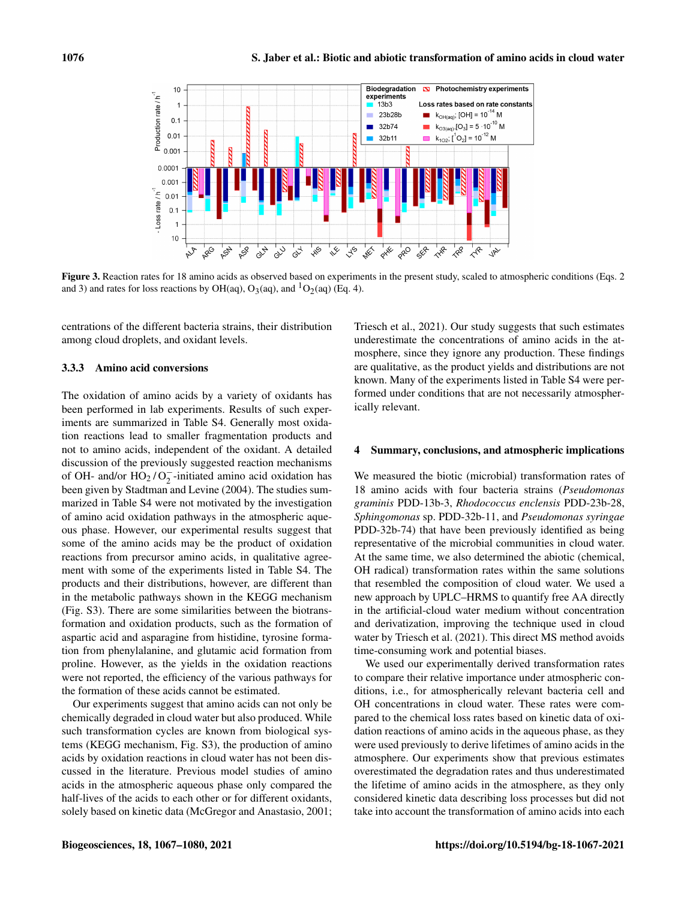

Figure 3. Reaction rates for 18 amino acids as observed based on experiments in the present study, scaled to atmospheric conditions (Eqs. 2 and 3) and rates for loss reactions by OH(aq), O<sub>3</sub>(aq), and <sup>1</sup>O<sub>2</sub>(aq) (Eq. 4).

centrations of the different bacteria strains, their distribution among cloud droplets, and oxidant levels.

#### 3.3.3 Amino acid conversions

The oxidation of amino acids by a variety of oxidants has been performed in lab experiments. Results of such experiments are summarized in Table S4. Generally most oxidation reactions lead to smaller fragmentation products and not to amino acids, independent of the oxidant. A detailed discussion of the previously suggested reaction mechanisms of OH- and/or  $HO_2/O_2^-$ -initiated amino acid oxidation has been given by Stadtman and Levine (2004). The studies summarized in Table S4 were not motivated by the investigation of amino acid oxidation pathways in the atmospheric aqueous phase. However, our experimental results suggest that some of the amino acids may be the product of oxidation reactions from precursor amino acids, in qualitative agreement with some of the experiments listed in Table S4. The products and their distributions, however, are different than in the metabolic pathways shown in the KEGG mechanism (Fig. S3). There are some similarities between the biotransformation and oxidation products, such as the formation of aspartic acid and asparagine from histidine, tyrosine formation from phenylalanine, and glutamic acid formation from proline. However, as the yields in the oxidation reactions were not reported, the efficiency of the various pathways for the formation of these acids cannot be estimated.

Our experiments suggest that amino acids can not only be chemically degraded in cloud water but also produced. While such transformation cycles are known from biological systems (KEGG mechanism, Fig. S3), the production of amino acids by oxidation reactions in cloud water has not been discussed in the literature. Previous model studies of amino acids in the atmospheric aqueous phase only compared the half-lives of the acids to each other or for different oxidants, solely based on kinetic data (McGregor and Anastasio, 2001; Triesch et al., 2021). Our study suggests that such estimates underestimate the concentrations of amino acids in the atmosphere, since they ignore any production. These findings are qualitative, as the product yields and distributions are not known. Many of the experiments listed in Table S4 were performed under conditions that are not necessarily atmospherically relevant.

#### 4 Summary, conclusions, and atmospheric implications

We measured the biotic (microbial) transformation rates of 18 amino acids with four bacteria strains (*Pseudomonas graminis* PDD-13b-3, *Rhodococcus enclensis* PDD-23b-28, *Sphingomonas* sp. PDD-32b-11, and *Pseudomonas syringae* PDD-32b-74) that have been previously identified as being representative of the microbial communities in cloud water. At the same time, we also determined the abiotic (chemical, OH radical) transformation rates within the same solutions that resembled the composition of cloud water. We used a new approach by UPLC–HRMS to quantify free AA directly in the artificial-cloud water medium without concentration and derivatization, improving the technique used in cloud water by Triesch et al. (2021). This direct MS method avoids time-consuming work and potential biases.

We used our experimentally derived transformation rates to compare their relative importance under atmospheric conditions, i.e., for atmospherically relevant bacteria cell and OH concentrations in cloud water. These rates were compared to the chemical loss rates based on kinetic data of oxidation reactions of amino acids in the aqueous phase, as they were used previously to derive lifetimes of amino acids in the atmosphere. Our experiments show that previous estimates overestimated the degradation rates and thus underestimated the lifetime of amino acids in the atmosphere, as they only considered kinetic data describing loss processes but did not take into account the transformation of amino acids into each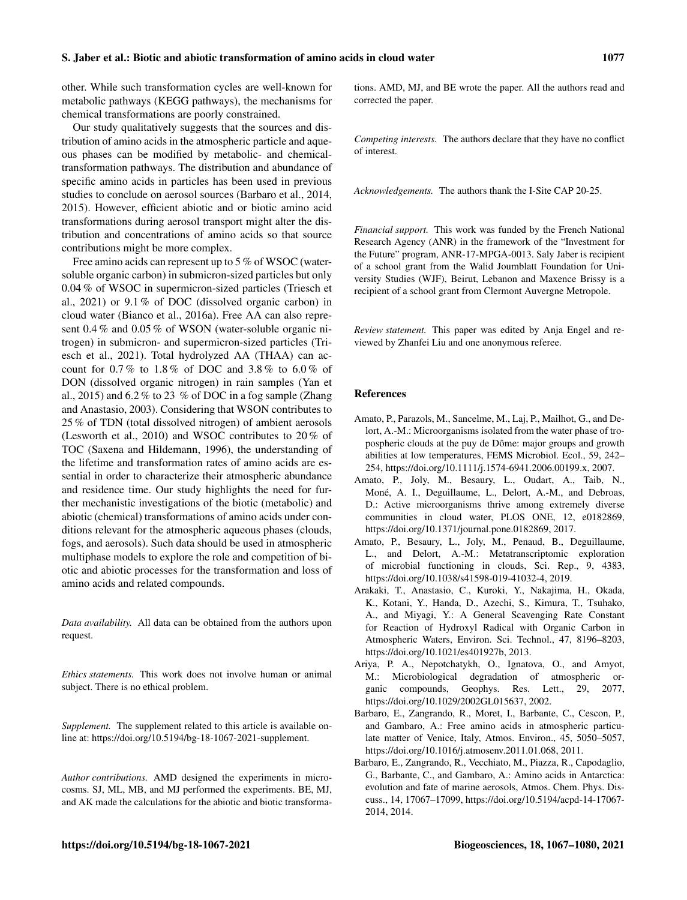other. While such transformation cycles are well-known for metabolic pathways (KEGG pathways), the mechanisms for chemical transformations are poorly constrained.

Our study qualitatively suggests that the sources and distribution of amino acids in the atmospheric particle and aqueous phases can be modified by metabolic- and chemicaltransformation pathways. The distribution and abundance of specific amino acids in particles has been used in previous studies to conclude on aerosol sources (Barbaro et al., 2014, 2015). However, efficient abiotic and or biotic amino acid transformations during aerosol transport might alter the distribution and concentrations of amino acids so that source contributions might be more complex.

Free amino acids can represent up to 5 % of WSOC (watersoluble organic carbon) in submicron-sized particles but only 0.04 % of WSOC in supermicron-sized particles (Triesch et al., 2021) or 9.1 % of DOC (dissolved organic carbon) in cloud water (Bianco et al., 2016a). Free AA can also represent 0.4 % and 0.05 % of WSON (water-soluble organic nitrogen) in submicron- and supermicron-sized particles (Triesch et al., 2021). Total hydrolyzed AA (THAA) can account for  $0.7\%$  to  $1.8\%$  of DOC and  $3.8\%$  to  $6.0\%$  of DON (dissolved organic nitrogen) in rain samples (Yan et al., 2015) and  $6.2\%$  to 23 % of DOC in a fog sample (Zhang and Anastasio, 2003). Considering that WSON contributes to 25 % of TDN (total dissolved nitrogen) of ambient aerosols (Lesworth et al., 2010) and WSOC contributes to 20 % of TOC (Saxena and Hildemann, 1996), the understanding of the lifetime and transformation rates of amino acids are essential in order to characterize their atmospheric abundance and residence time. Our study highlights the need for further mechanistic investigations of the biotic (metabolic) and abiotic (chemical) transformations of amino acids under conditions relevant for the atmospheric aqueous phases (clouds, fogs, and aerosols). Such data should be used in atmospheric multiphase models to explore the role and competition of biotic and abiotic processes for the transformation and loss of amino acids and related compounds.

*Data availability.* All data can be obtained from the authors upon request.

*Ethics statements.* This work does not involve human or animal subject. There is no ethical problem.

*Supplement.* The supplement related to this article is available online at: [https://doi.org/10.5194/bg-18-1067-2021-supplement.](https://doi.org/10.5194/bg-18-1067-2021-supplement)

*Author contributions.* AMD designed the experiments in microcosms. SJ, ML, MB, and MJ performed the experiments. BE, MJ, and AK made the calculations for the abiotic and biotic transformations. AMD, MJ, and BE wrote the paper. All the authors read and corrected the paper.

*Competing interests.* The authors declare that they have no conflict of interest.

*Acknowledgements.* The authors thank the I-Site CAP 20-25.

*Financial support.* This work was funded by the French National Research Agency (ANR) in the framework of the "Investment for the Future" program, ANR-17-MPGA-0013. Saly Jaber is recipient of a school grant from the Walid Joumblatt Foundation for University Studies (WJF), Beirut, Lebanon and Maxence Brissy is a recipient of a school grant from Clermont Auvergne Metropole.

*Review statement.* This paper was edited by Anja Engel and reviewed by Zhanfei Liu and one anonymous referee.

#### References

- Amato, P., Parazols, M., Sancelme, M., Laj, P., Mailhot, G., and Delort, A.-M.: Microorganisms isolated from the water phase of tropospheric clouds at the puy de Dôme: major groups and growth abilities at low temperatures, FEMS Microbiol. Ecol., 59, 242– 254, https://doi.org[/10.1111/j.1574-6941.2006.00199.x,](https://doi.org/10.1111/j.1574-6941.2006.00199.x) 2007.
- Amato, P., Joly, M., Besaury, L., Oudart, A., Taib, N., Moné, A. I., Deguillaume, L., Delort, A.-M., and Debroas, D.: Active microorganisms thrive among extremely diverse communities in cloud water, PLOS ONE, 12, e0182869, https://doi.org[/10.1371/journal.pone.0182869,](https://doi.org/10.1371/journal.pone.0182869) 2017.
- Amato, P., Besaury, L., Joly, M., Penaud, B., Deguillaume, L., and Delort, A.-M.: Metatranscriptomic exploration of microbial functioning in clouds, Sci. Rep., 9, 4383, https://doi.org[/10.1038/s41598-019-41032-4,](https://doi.org/10.1038/s41598-019-41032-4) 2019.
- Arakaki, T., Anastasio, C., Kuroki, Y., Nakajima, H., Okada, K., Kotani, Y., Handa, D., Azechi, S., Kimura, T., Tsuhako, A., and Miyagi, Y.: A General Scavenging Rate Constant for Reaction of Hydroxyl Radical with Organic Carbon in Atmospheric Waters, Environ. Sci. Technol., 47, 8196–8203, https://doi.org[/10.1021/es401927b,](https://doi.org/10.1021/es401927b) 2013.
- Ariya, P. A., Nepotchatykh, O., Ignatova, O., and Amyot, M.: Microbiological degradation of atmospheric organic compounds, Geophys. Res. Lett., 29, 2077, https://doi.org[/10.1029/2002GL015637,](https://doi.org/10.1029/2002GL015637) 2002.
- Barbaro, E., Zangrando, R., Moret, I., Barbante, C., Cescon, P., and Gambaro, A.: Free amino acids in atmospheric particulate matter of Venice, Italy, Atmos. Environ., 45, 5050–5057, https://doi.org[/10.1016/j.atmosenv.2011.01.068,](https://doi.org/10.1016/j.atmosenv.2011.01.068) 2011.
- Barbaro, E., Zangrando, R., Vecchiato, M., Piazza, R., Capodaglio, G., Barbante, C., and Gambaro, A.: Amino acids in Antarctica: evolution and fate of marine aerosols, Atmos. Chem. Phys. Discuss., 14, 17067–17099, https://doi.org[/10.5194/acpd-14-17067-](https://doi.org/10.5194/acpd-14-17067-2014) [2014,](https://doi.org/10.5194/acpd-14-17067-2014) 2014.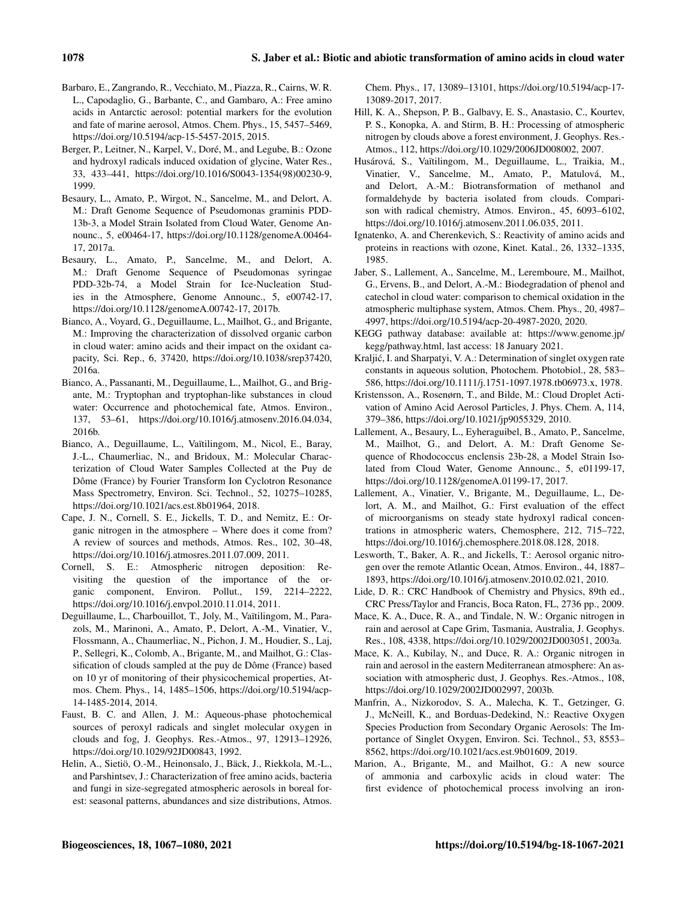- Barbaro, E., Zangrando, R., Vecchiato, M., Piazza, R., Cairns, W. R. L., Capodaglio, G., Barbante, C., and Gambaro, A.: Free amino acids in Antarctic aerosol: potential markers for the evolution and fate of marine aerosol, Atmos. Chem. Phys., 15, 5457–5469, https://doi.org[/10.5194/acp-15-5457-2015,](https://doi.org/10.5194/acp-15-5457-2015) 2015.
- Berger, P., Leitner, N., Karpel, V., Doré, M., and Legube, B.: Ozone and hydroxyl radicals induced oxidation of glycine, Water Res., 33, 433–441, https://doi.org[/10.1016/S0043-1354\(98\)00230-9,](https://doi.org/10.1016/S0043-1354(98)00230-9) 1999.
- Besaury, L., Amato, P., Wirgot, N., Sancelme, M., and Delort, A. M.: Draft Genome Sequence of Pseudomonas graminis PDD-13b-3, a Model Strain Isolated from Cloud Water, Genome Announc., 5, e00464-17, https://doi.org[/10.1128/genomeA.00464-](https://doi.org/10.1128/genomeA.00464-17) [17,](https://doi.org/10.1128/genomeA.00464-17) 2017a.
- Besaury, L., Amato, P., Sancelme, M., and Delort, A. M.: Draft Genome Sequence of Pseudomonas syringae PDD-32b-74, a Model Strain for Ice-Nucleation Studies in the Atmosphere, Genome Announc., 5, e00742-17, https://doi.org[/10.1128/genomeA.00742-17,](https://doi.org/10.1128/genomeA.00742-17) 2017b.
- Bianco, A., Voyard, G., Deguillaume, L., Mailhot, G., and Brigante, M.: Improving the characterization of dissolved organic carbon in cloud water: amino acids and their impact on the oxidant capacity, Sci. Rep., 6, 37420, https://doi.org[/10.1038/srep37420,](https://doi.org/10.1038/srep37420) 2016a.
- Bianco, A., Passananti, M., Deguillaume, L., Mailhot, G., and Brigante, M.: Tryptophan and tryptophan-like substances in cloud water: Occurrence and photochemical fate, Atmos. Environ., 137, 53–61, https://doi.org[/10.1016/j.atmosenv.2016.04.034,](https://doi.org/10.1016/j.atmosenv.2016.04.034) 2016b.
- Bianco, A., Deguillaume, L., Vaïtilingom, M., Nicol, E., Baray, J.-L., Chaumerliac, N., and Bridoux, M.: Molecular Characterization of Cloud Water Samples Collected at the Puy de Dôme (France) by Fourier Transform Ion Cyclotron Resonance Mass Spectrometry, Environ. Sci. Technol., 52, 10275–10285, https://doi.org[/10.1021/acs.est.8b01964,](https://doi.org/10.1021/acs.est.8b01964) 2018.
- Cape, J. N., Cornell, S. E., Jickells, T. D., and Nemitz, E.: Organic nitrogen in the atmosphere – Where does it come from? A review of sources and methods, Atmos. Res., 102, 30–48, https://doi.org[/10.1016/j.atmosres.2011.07.009,](https://doi.org/10.1016/j.atmosres.2011.07.009) 2011.
- Cornell, S. E.: Atmospheric nitrogen deposition: Revisiting the question of the importance of the organic component, Environ. Pollut., 159, 2214–2222, https://doi.org[/10.1016/j.envpol.2010.11.014,](https://doi.org/10.1016/j.envpol.2010.11.014) 2011.
- Deguillaume, L., Charbouillot, T., Joly, M., Vaïtilingom, M., Parazols, M., Marinoni, A., Amato, P., Delort, A.-M., Vinatier, V., Flossmann, A., Chaumerliac, N., Pichon, J. M., Houdier, S., Laj, P., Sellegri, K., Colomb, A., Brigante, M., and Mailhot, G.: Classification of clouds sampled at the puy de Dôme (France) based on 10 yr of monitoring of their physicochemical properties, Atmos. Chem. Phys., 14, 1485–1506, https://doi.org[/10.5194/acp-](https://doi.org/10.5194/acp-14-1485-2014)[14-1485-2014,](https://doi.org/10.5194/acp-14-1485-2014) 2014.
- Faust, B. C. and Allen, J. M.: Aqueous-phase photochemical sources of peroxyl radicals and singlet molecular oxygen in clouds and fog, J. Geophys. Res.-Atmos., 97, 12913–12926, https://doi.org[/10.1029/92JD00843,](https://doi.org/10.1029/92JD00843) 1992.
- Helin, A., Sietiö, O.-M., Heinonsalo, J., Bäck, J., Riekkola, M.-L., and Parshintsev, J.: Characterization of free amino acids, bacteria and fungi in size-segregated atmospheric aerosols in boreal forest: seasonal patterns, abundances and size distributions, Atmos.

Chem. Phys., 17, 13089–13101, https://doi.org[/10.5194/acp-17-](https://doi.org/10.5194/acp-17-13089-2017) [13089-2017,](https://doi.org/10.5194/acp-17-13089-2017) 2017.

- Hill, K. A., Shepson, P. B., Galbavy, E. S., Anastasio, C., Kourtev, P. S., Konopka, A. and Stirm, B. H.: Processing of atmospheric nitrogen by clouds above a forest environment, J. Geophys. Res.- Atmos., 112, https://doi.org[/10.1029/2006JD008002,](https://doi.org/10.1029/2006JD008002) 2007.
- Husárová, S., Vaïtilingom, M., Deguillaume, L., Traikia, M., Vinatier, V., Sancelme, M., Amato, P., Matulová, M., and Delort, A.-M.: Biotransformation of methanol and formaldehyde by bacteria isolated from clouds. Comparison with radical chemistry, Atmos. Environ., 45, 6093–6102, https://doi.org[/10.1016/j.atmosenv.2011.06.035,](https://doi.org/10.1016/j.atmosenv.2011.06.035) 2011.
- Ignatenko, A. and Cherenkevich, S.: Reactivity of amino acids and proteins in reactions with ozone, Kinet. Katal., 26, 1332–1335, 1985.
- Jaber, S., Lallement, A., Sancelme, M., Leremboure, M., Mailhot, G., Ervens, B., and Delort, A.-M.: Biodegradation of phenol and catechol in cloud water: comparison to chemical oxidation in the atmospheric multiphase system, Atmos. Chem. Phys., 20, 4987– 4997, https://doi.org[/10.5194/acp-20-4987-2020,](https://doi.org/10.5194/acp-20-4987-2020) 2020.
- KEGG pathway database: available at: [https://www.genome.jp/](https://www.genome.jp/kegg/pathway.html) [kegg/pathway.html,](https://www.genome.jp/kegg/pathway.html) last access: 18 January 2021.
- Kraljic, I. and Sharpatyi, V. A.: Determination of singlet oxygen rate ´ constants in aqueous solution, Photochem. Photobiol., 28, 583– 586, https://doi.org[/10.1111/j.1751-1097.1978.tb06973.x,](https://doi.org/10.1111/j.1751-1097.1978.tb06973.x) 1978.
- Kristensson, A., Rosenørn, T., and Bilde, M.: Cloud Droplet Activation of Amino Acid Aerosol Particles, J. Phys. Chem. A, 114, 379–386, https://doi.org[/10.1021/jp9055329,](https://doi.org/10.1021/jp9055329) 2010.
- Lallement, A., Besaury, L., Eyheraguibel, B., Amato, P., Sancelme, M., Mailhot, G., and Delort, A. M.: Draft Genome Sequence of Rhodococcus enclensis 23b-28, a Model Strain Isolated from Cloud Water, Genome Announc., 5, e01199-17, https://doi.org[/10.1128/genomeA.01199-17,](https://doi.org/10.1128/genomeA.01199-17) 2017.
- Lallement, A., Vinatier, V., Brigante, M., Deguillaume, L., Delort, A. M., and Mailhot, G.: First evaluation of the effect of microorganisms on steady state hydroxyl radical concentrations in atmospheric waters, Chemosphere, 212, 715–722, https://doi.org[/10.1016/j.chemosphere.2018.08.128,](https://doi.org/10.1016/j.chemosphere.2018.08.128) 2018.
- Lesworth, T., Baker, A. R., and Jickells, T.: Aerosol organic nitrogen over the remote Atlantic Ocean, Atmos. Environ., 44, 1887– 1893, https://doi.org[/10.1016/j.atmosenv.2010.02.021,](https://doi.org/10.1016/j.atmosenv.2010.02.021) 2010.
- Lide, D. R.: CRC Handbook of Chemistry and Physics, 89th ed., CRC Press/Taylor and Francis, Boca Raton, FL, 2736 pp., 2009.
- Mace, K. A., Duce, R. A., and Tindale, N. W.: Organic nitrogen in rain and aerosol at Cape Grim, Tasmania, Australia, J. Geophys. Res., 108, 4338, https://doi.org[/10.1029/2002JD003051,](https://doi.org/10.1029/2002JD003051) 2003a.
- Mace, K. A., Kubilay, N., and Duce, R. A.: Organic nitrogen in rain and aerosol in the eastern Mediterranean atmosphere: An association with atmospheric dust, J. Geophys. Res.-Atmos., 108, https://doi.org[/10.1029/2002JD002997,](https://doi.org/10.1029/2002JD002997) 2003b.
- Manfrin, A., Nizkorodov, S. A., Malecha, K. T., Getzinger, G. J., McNeill, K., and Borduas-Dedekind, N.: Reactive Oxygen Species Production from Secondary Organic Aerosols: The Importance of Singlet Oxygen, Environ. Sci. Technol., 53, 8553– 8562, https://doi.org[/10.1021/acs.est.9b01609,](https://doi.org/10.1021/acs.est.9b01609) 2019.
- Marion, A., Brigante, M., and Mailhot, G.: A new source of ammonia and carboxylic acids in cloud water: The first evidence of photochemical process involving an iron-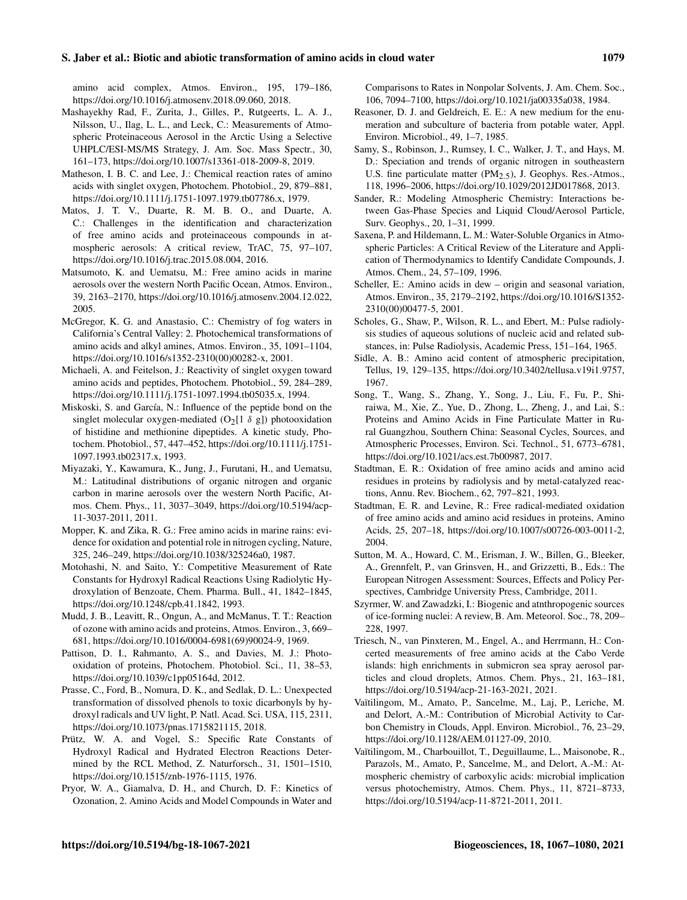#### S. Jaber et al.: Biotic and abiotic transformation of amino acids in cloud water 1079

amino acid complex, Atmos. Environ., 195, 179–186, https://doi.org[/10.1016/j.atmosenv.2018.09.060,](https://doi.org/10.1016/j.atmosenv.2018.09.060) 2018.

- Mashayekhy Rad, F., Zurita, J., Gilles, P., Rutgeerts, L. A. J., Nilsson, U., Ilag, L. L., and Leck, C.: Measurements of Atmospheric Proteinaceous Aerosol in the Arctic Using a Selective UHPLC/ESI-MS/MS Strategy, J. Am. Soc. Mass Spectr., 30, 161–173, https://doi.org[/10.1007/s13361-018-2009-8,](https://doi.org/10.1007/s13361-018-2009-8) 2019.
- Matheson, I. B. C. and Lee, J.: Chemical reaction rates of amino acids with singlet oxygen, Photochem. Photobiol., 29, 879–881, https://doi.org[/10.1111/j.1751-1097.1979.tb07786.x,](https://doi.org/10.1111/j.1751-1097.1979.tb07786.x) 1979.
- Matos, J. T. V., Duarte, R. M. B. O., and Duarte, A. C.: Challenges in the identification and characterization of free amino acids and proteinaceous compounds in atmospheric aerosols: A critical review, TrAC, 75, 97–107, https://doi.org[/10.1016/j.trac.2015.08.004,](https://doi.org/10.1016/j.trac.2015.08.004) 2016.
- Matsumoto, K. and Uematsu, M.: Free amino acids in marine aerosols over the western North Pacific Ocean, Atmos. Environ., 39, 2163–2170, https://doi.org[/10.1016/j.atmosenv.2004.12.022,](https://doi.org/10.1016/j.atmosenv.2004.12.022) 2005.
- McGregor, K. G. and Anastasio, C.: Chemistry of fog waters in California's Central Valley: 2. Photochemical transformations of amino acids and alkyl amines, Atmos. Environ., 35, 1091–1104, https://doi.org[/10.1016/s1352-2310\(00\)00282-x,](https://doi.org/10.1016/s1352-2310(00)00282-x) 2001.
- Michaeli, A. and Feitelson, J.: Reactivity of singlet oxygen toward amino acids and peptides, Photochem. Photobiol., 59, 284–289, https://doi.org[/10.1111/j.1751-1097.1994.tb05035.x,](https://doi.org/10.1111/j.1751-1097.1994.tb05035.x) 1994.
- Miskoski, S. and García, N.: Influence of the peptide bond on the singlet molecular oxygen-mediated  $(O_2[1 \delta g])$  photooxidation of histidine and methionine dipeptides. A kinetic study, Photochem. Photobiol., 57, 447–452, https://doi.org[/10.1111/j.1751-](https://doi.org/10.1111/j.1751-1097.1993.tb02317.x) [1097.1993.tb02317.x,](https://doi.org/10.1111/j.1751-1097.1993.tb02317.x) 1993.
- Miyazaki, Y., Kawamura, K., Jung, J., Furutani, H., and Uematsu, M.: Latitudinal distributions of organic nitrogen and organic carbon in marine aerosols over the western North Pacific, Atmos. Chem. Phys., 11, 3037–3049, https://doi.org/10.5194/acp-11-3037-2011, 2011.
- Mopper, K. and Zika, R. G.: Free amino acids in marine rains: evidence for oxidation and potential role in nitrogen cycling, Nature, 325, 246–249, https://doi.org[/10.1038/325246a0,](https://doi.org/10.1038/325246a0) 1987.
- Motohashi, N. and Saito, Y.: Competitive Measurement of Rate Constants for Hydroxyl Radical Reactions Using Radiolytic Hydroxylation of Benzoate, Chem. Pharma. Bull., 41, 1842–1845, https://doi.org[/10.1248/cpb.41.1842,](https://doi.org/10.1248/cpb.41.1842) 1993.
- Mudd, J. B., Leavitt, R., Ongun, A., and McManus, T. T.: Reaction of ozone with amino acids and proteins, Atmos. Environ., 3, 669– 681, https://doi.org[/10.1016/0004-6981\(69\)90024-9,](https://doi.org/10.1016/0004-6981(69)90024-9) 1969.
- Pattison, D. I., Rahmanto, A. S., and Davies, M. J.: Photooxidation of proteins, Photochem. Photobiol. Sci., 11, 38–53, https://doi.org[/10.1039/c1pp05164d,](https://doi.org/10.1039/c1pp05164d) 2012.
- Prasse, C., Ford, B., Nomura, D. K., and Sedlak, D. L.: Unexpected transformation of dissolved phenols to toxic dicarbonyls by hydroxyl radicals and UV light, P. Natl. Acad. Sci. USA, 115, 2311, https://doi.org[/10.1073/pnas.1715821115,](https://doi.org/10.1073/pnas.1715821115) 2018.
- Prütz, W. A. and Vogel, S.: Specific Rate Constants of Hydroxyl Radical and Hydrated Electron Reactions Determined by the RCL Method, Z. Naturforsch., 31, 1501–1510, https://doi.org[/10.1515/znb-1976-1115,](https://doi.org/10.1515/znb-1976-1115) 1976.
- Pryor, W. A., Giamalva, D. H., and Church, D. F.: Kinetics of Ozonation, 2. Amino Acids and Model Compounds in Water and

Comparisons to Rates in Nonpolar Solvents, J. Am. Chem. Soc., 106, 7094–7100, https://doi.org[/10.1021/ja00335a038,](https://doi.org/10.1021/ja00335a038) 1984.

- Reasoner, D. J. and Geldreich, E. E.: A new medium for the enumeration and subculture of bacteria from potable water, Appl. Environ. Microbiol., 49, 1–7, 1985.
- Samy, S., Robinson, J., Rumsey, I. C., Walker, J. T., and Hays, M. D.: Speciation and trends of organic nitrogen in southeastern U.S. fine particulate matter  $(PM_{2.5})$ , J. Geophys. Res.-Atmos., 118, 1996–2006, https://doi.org[/10.1029/2012JD017868,](https://doi.org/10.1029/2012JD017868) 2013.
- Sander, R.: Modeling Atmospheric Chemistry: Interactions between Gas-Phase Species and Liquid Cloud/Aerosol Particle, Surv. Geophys., 20, 1–31, 1999.
- Saxena, P. and Hildemann, L. M.: Water-Soluble Organics in Atmospheric Particles: A Critical Review of the Literature and Application of Thermodynamics to Identify Candidate Compounds, J. Atmos. Chem., 24, 57–109, 1996.
- Scheller, E.: Amino acids in dew origin and seasonal variation, Atmos. Environ., 35, 2179–2192, https://doi.org[/10.1016/S1352-](https://doi.org/10.1016/S1352-2310(00)00477-5) [2310\(00\)00477-5,](https://doi.org/10.1016/S1352-2310(00)00477-5) 2001.
- Scholes, G., Shaw, P., Wilson, R. L., and Ebert, M.: Pulse radiolysis studies of aqueous solutions of nucleic acid and related substances, in: Pulse Radiolysis, Academic Press, 151–164, 1965.
- Sidle, A. B.: Amino acid content of atmospheric precipitation, Tellus, 19, 129–135, https://doi.org[/10.3402/tellusa.v19i1.9757,](https://doi.org/10.3402/tellusa.v19i1.9757) 1967.
- Song, T., Wang, S., Zhang, Y., Song, J., Liu, F., Fu, P., Shiraiwa, M., Xie, Z., Yue, D., Zhong, L., Zheng, J., and Lai, S.: Proteins and Amino Acids in Fine Particulate Matter in Rural Guangzhou, Southern China: Seasonal Cycles, Sources, and Atmospheric Processes, Environ. Sci. Technol., 51, 6773–6781, https://doi.org[/10.1021/acs.est.7b00987,](https://doi.org/10.1021/acs.est.7b00987) 2017.
- Stadtman, E. R.: Oxidation of free amino acids and amino acid residues in proteins by radiolysis and by metal-catalyzed reactions, Annu. Rev. Biochem., 62, 797–821, 1993.
- Stadtman, E. R. and Levine, R.: Free radical-mediated oxidation of free amino acids and amino acid residues in proteins, Amino Acids, 25, 207–18, https://doi.org[/10.1007/s00726-003-0011-2,](https://doi.org/10.1007/s00726-003-0011-2) 2004.
- Sutton, M. A., Howard, C. M., Erisman, J. W., Billen, G., Bleeker, A., Grennfelt, P., van Grinsven, H., and Grizzetti, B., Eds.: The European Nitrogen Assessment: Sources, Effects and Policy Perspectives, Cambridge University Press, Cambridge, 2011.
- Szyrmer, W. and Zawadzki, I.: Biogenic and atnthropogenic sources of ice-forming nuclei: A review, B. Am. Meteorol. Soc., 78, 209– 228, 1997.
- Triesch, N., van Pinxteren, M., Engel, A., and Herrmann, H.: Concerted measurements of free amino acids at the Cabo Verde islands: high enrichments in submicron sea spray aerosol particles and cloud droplets, Atmos. Chem. Phys., 21, 163–181, https://doi.org/10.5194/acp-21-163-2021, 2021.
- Vaïtilingom, M., Amato, P., Sancelme, M., Laj, P., Leriche, M. and Delort, A.-M.: Contribution of Microbial Activity to Carbon Chemistry in Clouds, Appl. Environ. Microbiol., 76, 23–29, https://doi.org[/10.1128/AEM.01127-09,](https://doi.org/10.1128/AEM.01127-09) 2010.
- Vaïtilingom, M., Charbouillot, T., Deguillaume, L., Maisonobe, R., Parazols, M., Amato, P., Sancelme, M., and Delort, A.-M.: Atmospheric chemistry of carboxylic acids: microbial implication versus photochemistry, Atmos. Chem. Phys., 11, 8721–8733, https://doi.org/10.5194/acp-11-8721-2011, 2011.